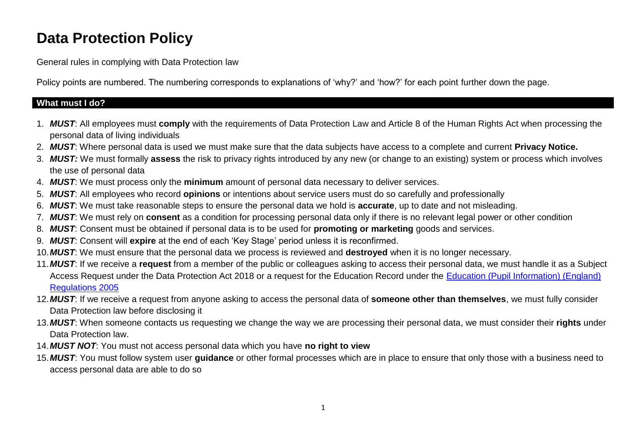# **Data Protection Policy**

General rules in complying with Data Protection law

Policy points are numbered. The numbering corresponds to explanations of 'why?' and 'how?' for each point further down the page.

#### **What must I do?**

- 1. *MUST*: All employees must **comply** with the requirements of Data Protection Law and Article 8 of the Human Rights Act when processing the personal data of living individuals
- 2. *MUST*: Where personal data is used we must make sure that the data subjects have access to a complete and current **Privacy Notice.**
- 3. *MUST:* We must formally **assess** the risk to privacy rights introduced by any new (or change to an existing) system or process which involves the use of personal data
- 4. *MUST*: We must process only the **minimum** amount of personal data necessary to deliver services.
- 5. *MUST*: All employees who record **opinions** or intentions about service users must do so carefully and professionally
- 6. *MUST*: We must take reasonable steps to ensure the personal data we hold is **accurate**, up to date and not misleading.
- 7. *MUST*: We must rely on **consent** as a condition for processing personal data only if there is no relevant legal power or other condition
- 8. *MUST*: Consent must be obtained if personal data is to be used for **promoting or marketing** goods and services.
- 9. *MUST*: Consent will **expire** at the end of each 'Key Stage' period unless it is reconfirmed.
- 10.*MUST*: We must ensure that the personal data we process is reviewed and **destroyed** when it is no longer necessary.
- 11.*MUST*: If we receive a **request** from a member of the public or colleagues asking to access their personal data, we must handle it as a Subject Access Request under the Data Protection Act 2018 or a request for the Education Record under the [Education \(Pupil Information\) \(England\)](http://www.legislation.gov.uk/uksi/2005/1437/pdfs/uksi_20051437_en.pdf)  [Regulations 2005](http://www.legislation.gov.uk/uksi/2005/1437/pdfs/uksi_20051437_en.pdf)
- 12.*MUST*: If we receive a request from anyone asking to access the personal data of **someone other than themselves**, we must fully consider Data Protection law before disclosing it
- 13.*MUST*: When someone contacts us requesting we change the way we are processing their personal data, we must consider their **rights** under Data Protection law.
- 14.*MUST NOT*: You must not access personal data which you have **no right to view**
- 15.*MUST*: You must follow system user **guidance** or other formal processes which are in place to ensure that only those with a business need to access personal data are able to do so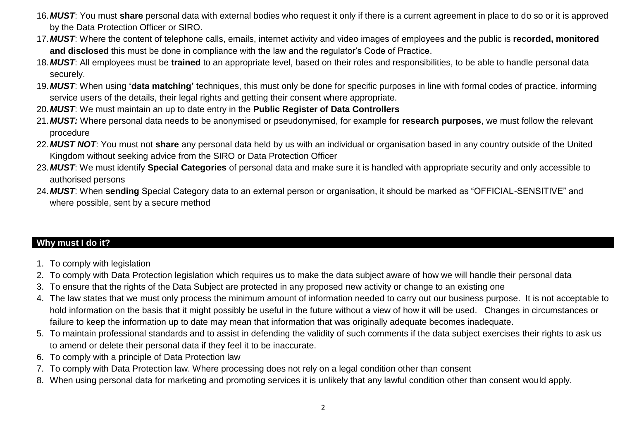- 16.*MUST*: You must **share** personal data with external bodies who request it only if there is a current agreement in place to do so or it is approved by the Data Protection Officer or SIRO.
- 17.*MUST*: Where the content of telephone calls, emails, internet activity and video images of employees and the public is **recorded, monitored and disclosed** this must be done in compliance with the law and the regulator's Code of Practice.
- 18.*MUST*: All employees must be **trained** to an appropriate level, based on their roles and responsibilities, to be able to handle personal data securely.
- 19.*MUST*: When using **'data matching'** techniques, this must only be done for specific purposes in line with formal codes of practice, informing service users of the details, their legal rights and getting their consent where appropriate.
- 20.*MUST*: We must maintain an up to date entry in the **Public Register of Data Controllers**
- 21.*MUST:* Where personal data needs to be anonymised or pseudonymised, for example for **research purposes**, we must follow the relevant procedure
- 22.*MUST NOT*: You must not **share** any personal data held by us with an individual or organisation based in any country outside of the United Kingdom without seeking advice from the SIRO or Data Protection Officer
- 23.*MUST*: We must identify **Special Categories** of personal data and make sure it is handled with appropriate security and only accessible to authorised persons
- 24.*MUST*: When **sending** Special Category data to an external person or organisation, it should be marked as "OFFICIAL-SENSITIVE" and where possible, sent by a secure method

## **Why must I do it?**

- 1. To comply with legislation
- 2. To comply with Data Protection legislation which requires us to make the data subject aware of how we will handle their personal data
- 3. To ensure that the rights of the Data Subject are protected in any proposed new activity or change to an existing one
- 4. The law states that we must only process the minimum amount of information needed to carry out our business purpose. It is not acceptable to hold information on the basis that it might possibly be useful in the future without a view of how it will be used. Changes in circumstances or failure to keep the information up to date may mean that information that was originally adequate becomes inadequate.
- 5. To maintain professional standards and to assist in defending the validity of such comments if the data subject exercises their rights to ask us to amend or delete their personal data if they feel it to be inaccurate.
- 6. To comply with a principle of Data Protection law
- 7. To comply with Data Protection law. Where processing does not rely on a legal condition other than consent
- 8. When using personal data for marketing and promoting services it is unlikely that any lawful condition other than consent would apply.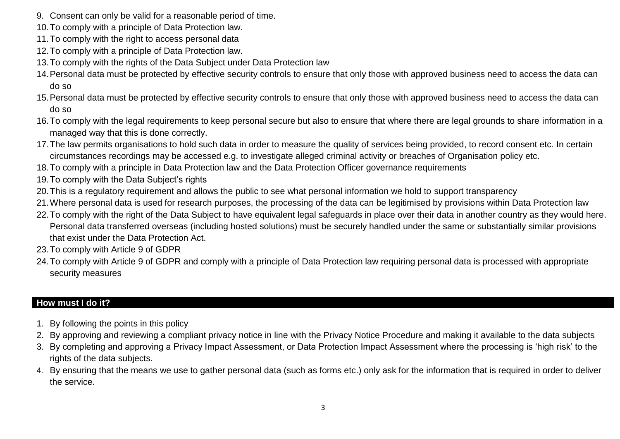- 9. Consent can only be valid for a reasonable period of time.
- 10.To comply with a principle of Data Protection law.
- 11.To comply with the right to access personal data
- 12.To comply with a principle of Data Protection law.
- 13.To comply with the rights of the Data Subject under Data Protection law
- 14.Personal data must be protected by effective security controls to ensure that only those with approved business need to access the data can do so
- 15.Personal data must be protected by effective security controls to ensure that only those with approved business need to access the data can do so
- 16.To comply with the legal requirements to keep personal secure but also to ensure that where there are legal grounds to share information in a managed way that this is done correctly.
- 17.The law permits organisations to hold such data in order to measure the quality of services being provided, to record consent etc. In certain circumstances recordings may be accessed e.g. to investigate alleged criminal activity or breaches of Organisation policy etc.
- 18.To comply with a principle in Data Protection law and the Data Protection Officer governance requirements
- 19.To comply with the Data Subject's rights
- 20.This is a regulatory requirement and allows the public to see what personal information we hold to support transparency
- 21.Where personal data is used for research purposes, the processing of the data can be legitimised by provisions within Data Protection law
- 22.To comply with the right of the Data Subject to have equivalent legal safeguards in place over their data in another country as they would here. Personal data transferred overseas (including hosted solutions) must be securely handled under the same or substantially similar provisions that exist under the Data Protection Act.
- 23.To comply with Article 9 of GDPR
- 24.To comply with Article 9 of GDPR and comply with a principle of Data Protection law requiring personal data is processed with appropriate security measures

## **How must I do it?**

- 1. By following the points in this policy
- 2. By approving and reviewing a compliant privacy notice in line with the Privacy Notice Procedure and making it available to the data subjects
- 3. By completing and approving a Privacy Impact Assessment, or Data Protection Impact Assessment where the processing is 'high risk' to the rights of the data subjects.
- 4. By ensuring that the means we use to gather personal data (such as forms etc.) only ask for the information that is required in order to deliver the service.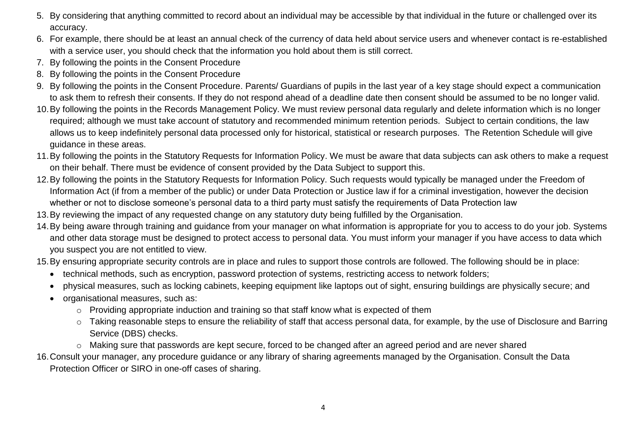- 5. By considering that anything committed to record about an individual may be accessible by that individual in the future or challenged over its accuracy.
- 6. For example, there should be at least an annual check of the currency of data held about service users and whenever contact is re-established with a service user, you should check that the information you hold about them is still correct.
- 7. By following the points in the Consent Procedure
- 8. By following the points in the Consent Procedure
- 9. By following the points in the Consent Procedure. Parents/ Guardians of pupils in the last year of a key stage should expect a communication to ask them to refresh their consents. If they do not respond ahead of a deadline date then consent should be assumed to be no longer valid.
- 10.By following the points in the Records Management Policy. We must review personal data regularly and delete information which is no longer required; although we must take account of statutory and recommended minimum retention periods. Subject to certain conditions, the law allows us to keep indefinitely personal data processed only for historical, statistical or research purposes. The Retention Schedule will give guidance in these areas.
- 11.By following the points in the Statutory Requests for Information Policy. We must be aware that data subjects can ask others to make a request on their behalf. There must be evidence of consent provided by the Data Subject to support this.
- 12.By following the points in the Statutory Requests for Information Policy. Such requests would typically be managed under the Freedom of Information Act (if from a member of the public) or under Data Protection or Justice law if for a criminal investigation, however the decision whether or not to disclose someone's personal data to a third party must satisfy the requirements of Data Protection law
- 13.By reviewing the impact of any requested change on any statutory duty being fulfilled by the Organisation.
- 14.By being aware through training and guidance from your manager on what information is appropriate for you to access to do your job. Systems and other data storage must be designed to protect access to personal data. You must inform your manager if you have access to data which you suspect you are not entitled to view.
- 15.By ensuring appropriate security controls are in place and rules to support those controls are followed. The following should be in place:
	- technical methods, such as encryption, password protection of systems, restricting access to network folders;
	- physical measures, such as locking cabinets, keeping equipment like laptops out of sight, ensuring buildings are physically secure; and
	- organisational measures, such as:
		- o Providing appropriate induction and training so that staff know what is expected of them
		- o Taking reasonable steps to ensure the reliability of staff that access personal data, for example, by the use of Disclosure and Barring Service (DBS) checks.
		- o Making sure that passwords are kept secure, forced to be changed after an agreed period and are never shared

16.Consult your manager, any procedure guidance or any library of sharing agreements managed by the Organisation. Consult the Data Protection Officer or SIRO in one-off cases of sharing.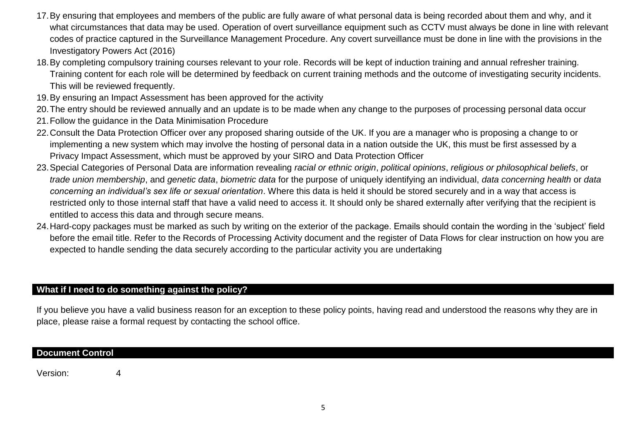- 17.By ensuring that employees and members of the public are fully aware of what personal data is being recorded about them and why, and it what circumstances that data may be used. Operation of overt surveillance equipment such as CCTV must always be done in line with relevant codes of practice captured in the Surveillance Management Procedure. Any covert surveillance must be done in line with the provisions in the Investigatory Powers Act (2016)
- 18.By completing compulsory training courses relevant to your role. Records will be kept of induction training and annual refresher training. Training content for each role will be determined by feedback on current training methods and the outcome of investigating security incidents. This will be reviewed frequently.
- 19.By ensuring an Impact Assessment has been approved for the activity
- 20.The entry should be reviewed annually and an update is to be made when any change to the purposes of processing personal data occur
- 21.Follow the guidance in the Data Minimisation Procedure
- 22.Consult the Data Protection Officer over any proposed sharing outside of the UK. If you are a manager who is proposing a change to or implementing a new system which may involve the hosting of personal data in a nation outside the UK, this must be first assessed by a Privacy Impact Assessment, which must be approved by your SIRO and Data Protection Officer
- 23.Special Categories of Personal Data are information revealing *racial or ethnic origin*, *political opinions*, *religious or philosophical beliefs*, or *trade union membership*, and *genetic data*, *biometric data* for the purpose of uniquely identifying an individual, *data concerning health* or *data concerning an individual's sex life or sexual orientation*. Where this data is held it should be stored securely and in a way that access is restricted only to those internal staff that have a valid need to access it. It should only be shared externally after verifying that the recipient is entitled to access this data and through secure means.
- 24.Hard-copy packages must be marked as such by writing on the exterior of the package. Emails should contain the wording in the 'subject' field before the email title. Refer to the Records of Processing Activity document and the register of Data Flows for clear instruction on how you are expected to handle sending the data securely according to the particular activity you are undertaking

## **What if I need to do something against the policy?**

If you believe you have a valid business reason for an exception to these policy points, having read and understood the reasons why they are in place, please raise a formal request by contacting the school office.

#### **Document Control**

Version: 4